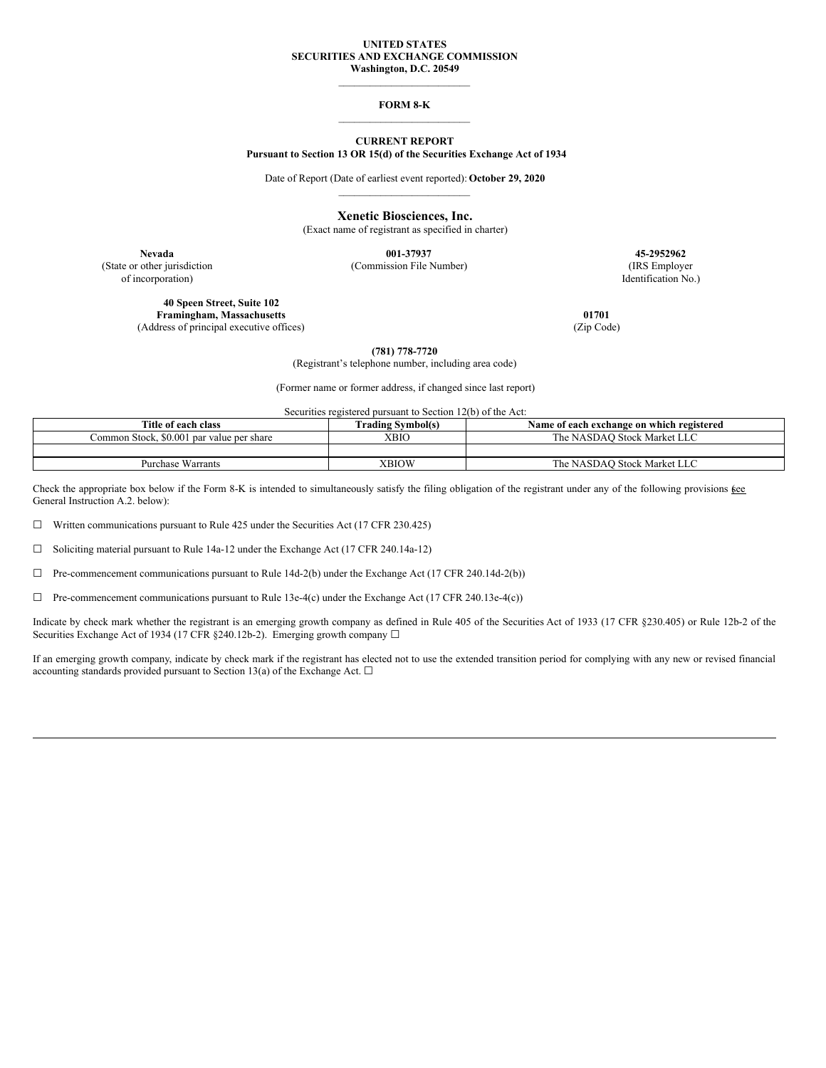# **UNITED STATES SECURITIES AND EXCHANGE COMMISSION Washington, D.C. 20549**

\_\_\_\_\_\_\_\_\_\_\_\_\_\_\_\_\_\_\_\_\_\_\_\_\_

### **FORM 8-K** \_\_\_\_\_\_\_\_\_\_\_\_\_\_\_\_\_\_\_\_\_\_\_\_\_

# **CURRENT REPORT Pursuant to Section 13 OR 15(d) of the Securities Exchange Act of 1934**

Date of Report (Date of earliest event reported): **October 29, 2020** \_\_\_\_\_\_\_\_\_\_\_\_\_\_\_\_\_\_\_\_\_\_\_\_\_

**Xenetic Biosciences, Inc.**

(Exact name of registrant as specified in charter)

**Nevada 001-37937 45-2952962** (State or other jurisdiction (Commission File Number) (IRS Employer

**40 Speen Street, Suite 102 Framingham, Massachusetts 01701** (Address of principal executive offices) (Zip Code)

of incorporation) Identification No.)

**(781) 778-7720**

(Registrant's telephone number, including area code)

(Former name or former address, if changed since last report)

Securities registered pursuant to Section 12(b) of the Act:

| Title of each class                       | <b>Trading Symbol(s)</b> | Name of each exchange on which registered |
|-------------------------------------------|--------------------------|-------------------------------------------|
| Common Stock, \$0,001 par value per share | <b>XBIO</b>              | The NASDAO Stock Market LLC               |
|                                           |                          |                                           |
| Purchase Warrants                         | XBIOW                    | The NASDAO Stock Market LLC               |

Check the appropriate box below if the Form 8-K is intended to simultaneously satisfy the filing obligation of the registrant under any of the following provisions  $\underline{\mathfrak{g}}\underline{\mathfrak{e}}\underline{\mathfrak{e}}$ General Instruction A.2. below):

☐ Written communications pursuant to Rule 425 under the Securities Act (17 CFR 230.425)

☐ Soliciting material pursuant to Rule 14a-12 under the Exchange Act (17 CFR 240.14a-12)

☐ Pre-commencement communications pursuant to Rule 14d-2(b) under the Exchange Act (17 CFR 240.14d-2(b))

 $\Box$  Pre-commencement communications pursuant to Rule 13e-4(c) under the Exchange Act (17 CFR 240.13e-4(c))

Indicate by check mark whether the registrant is an emerging growth company as defined in Rule 405 of the Securities Act of 1933 (17 CFR §230.405) or Rule 12b-2 of the Securities Exchange Act of 1934 (17 CFR §240.12b-2). Emerging growth company □

If an emerging growth company, indicate by check mark if the registrant has elected not to use the extended transition period for complying with any new or revised financial accounting standards provided pursuant to Section 13(a) of the Exchange Act.  $\square$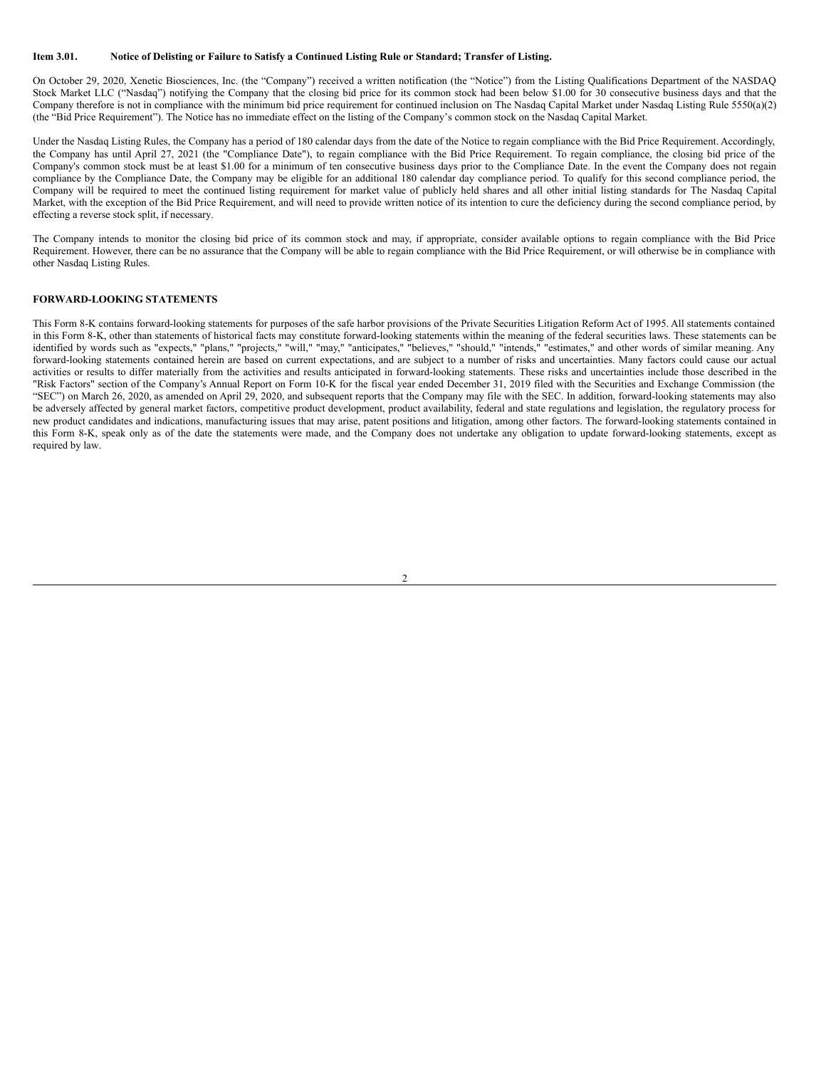# Item 3.01. Notice of Delisting or Failure to Satisfy a Continued Listing Rule or Standard; Transfer of Listing.

On October 29, 2020, Xenetic Biosciences, Inc. (the "Company") received a written notification (the "Notice") from the Listing Qualifications Department of the NASDAQ Stock Market LLC ("Nasdaq") notifying the Company that the closing bid price for its common stock had been below \$1.00 for 30 consecutive business days and that the Company therefore is not in compliance with the minimum bid price requirement for continued inclusion on The Nasdaq Capital Market under Nasdaq Listing Rule 5550(a)(2) (the "Bid Price Requirement"). The Notice has no immediate effect on the listing of the Company's common stock on the Nasdaq Capital Market.

Under the Nasdaq Listing Rules, the Company has a period of 180 calendar days from the date of the Notice to regain compliance with the Bid Price Requirement. Accordingly, the Company has until April 27, 2021 (the "Compliance Date"), to regain compliance with the Bid Price Requirement. To regain compliance, the closing bid price of the Company's common stock must be at least \$1.00 for a minimum of ten consecutive business days prior to the Compliance Date. In the event the Company does not regain compliance by the Compliance Date, the Company may be eligible for an additional 180 calendar day compliance period. To qualify for this second compliance period, the Company will be required to meet the continued listing requirement for market value of publicly held shares and all other initial listing standards for The Nasdaq Capital Market, with the exception of the Bid Price Requirement, and will need to provide written notice of its intention to cure the deficiency during the second compliance period, by effecting a reverse stock split, if necessary.

The Company intends to monitor the closing bid price of its common stock and may, if appropriate, consider available options to regain compliance with the Bid Price Requirement. However, there can be no assurance that the Company will be able to regain compliance with the Bid Price Requirement, or will otherwise be in compliance with other Nasdaq Listing Rules.

#### **FORWARD-LOOKING STATEMENTS**

This Form 8-K contains forward-looking statements for purposes of the safe harbor provisions of the Private Securities Litigation Reform Act of 1995. All statements contained in this Form 8-K, other than statements of historical facts may constitute forward-looking statements within the meaning of the federal securities laws. These statements can be identified by words such as "expects," "plans," "projects," "will," "may," "anticipates," "believes," "should," "intends," "estimates," and other words of similar meaning. Any forward-looking statements contained herein are based on current expectations, and are subject to a number of risks and uncertainties. Many factors could cause our actual activities or results to differ materially from the activities and results anticipated in forward-looking statements. These risks and uncertainties include those described in the "Risk Factors" section of the Company's Annual Report on Form 10-K for the fiscal year ended December 31, 2019 filed with the Securities and Exchange Commission (the "SEC") on March 26, 2020, as amended on April 29, 2020, and subsequent reports that the Company may file with the SEC. In addition, forward-looking statements may also be adversely affected by general market factors, competitive product development, product availability, federal and state regulations and legislation, the regulatory process for new product candidates and indications, manufacturing issues that may arise, patent positions and litigation, among other factors. The forward-looking statements contained in this Form 8-K, speak only as of the date the statements were made, and the Company does not undertake any obligation to update forward-looking statements, except as required by law.